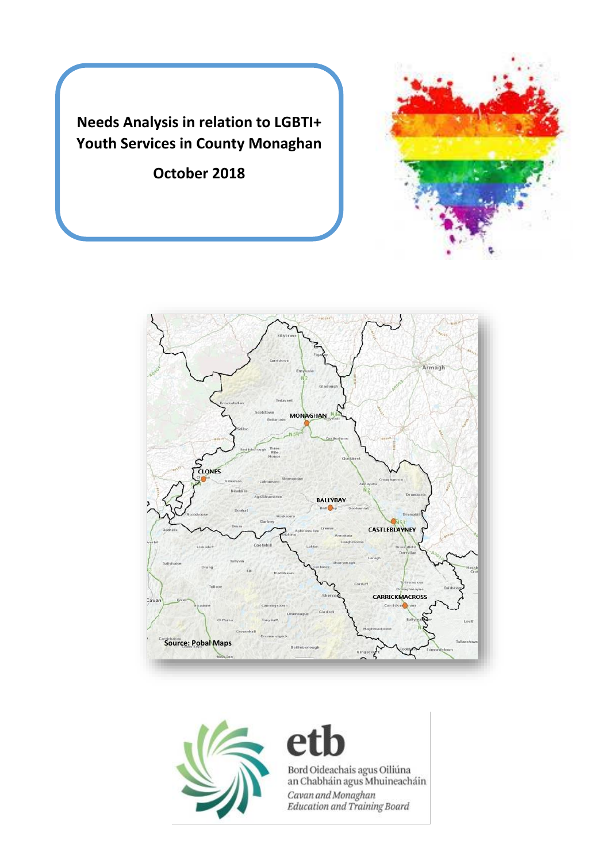**Needs Analysis in relation to LGBTI+ Youth Services in County Monaghan** 

**October 2018**







# h e

Bord Oideachais agus Oiliúna<br>an Chabháin agus Mhuineacháin Cavan and Monaghan<br>Education and Training Board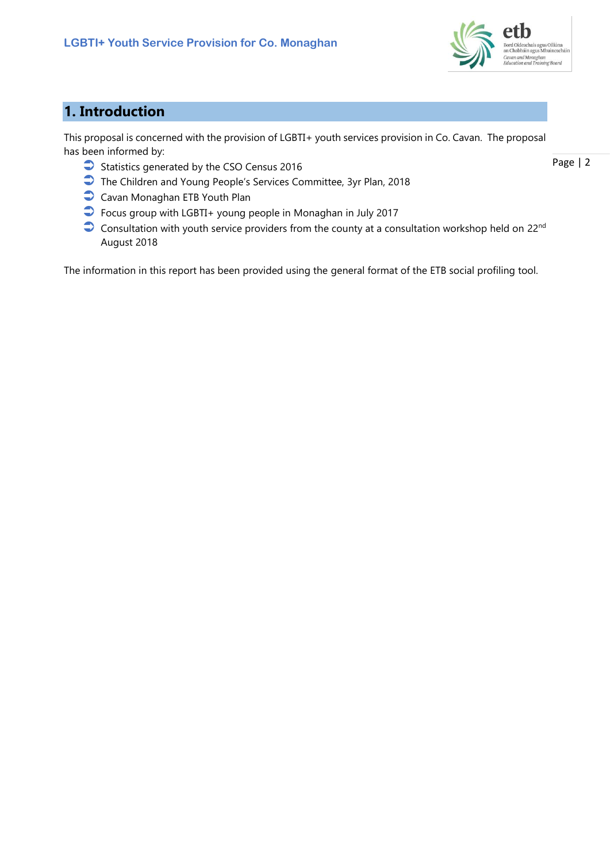

# **1. Introduction**

This proposal is concerned with the provision of LGBTI+ youth services provision in Co. Cavan. The proposal has been informed by:

- Statistics generated by the CSO Census 2016
- The Children and Young People's Services Committee, 3yr Plan, 2018
- Cavan Monaghan ETB Youth Plan
- Focus group with LGBTI+ young people in Monaghan in July 2017
- Consultation with youth service providers from the county at a consultation workshop held on 22<sup>nd</sup> August 2018

The information in this report has been provided using the general format of the ETB social profiling tool.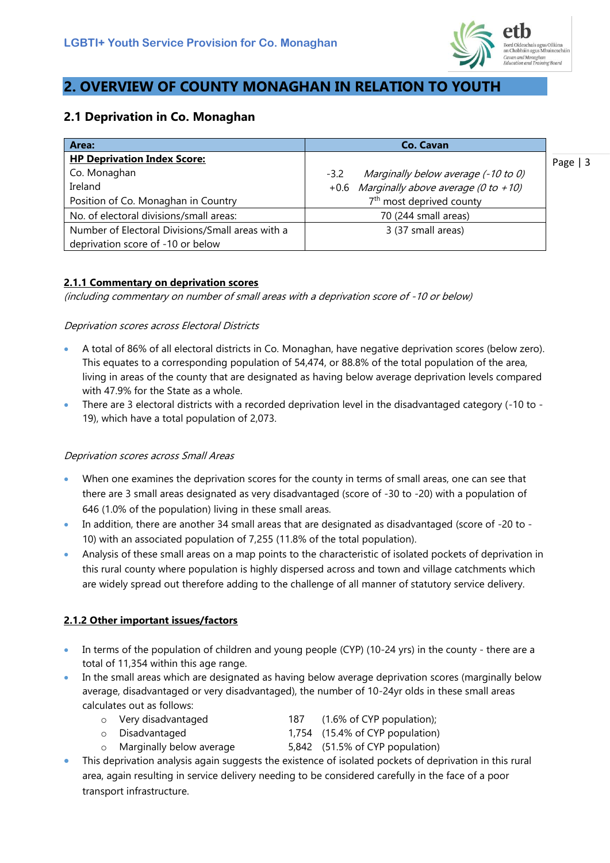

# **2. OVERVIEW OF COUNTY MONAGHAN IN RELATION TO YOUTH**

## **2.1 Deprivation in Co. Monaghan**

| Area:                                            | <b>Co. Cavan</b>                              |            |
|--------------------------------------------------|-----------------------------------------------|------------|
| <b>HP Deprivation Index Score:</b>               |                                               | Page $ $ 3 |
| Co. Monaghan                                     | Marginally below average (-10 to 0)<br>$-3.2$ |            |
| Ireland                                          | +0.6 Marginally above average (0 to +10)      |            |
| Position of Co. Monaghan in Country              | 7 <sup>th</sup> most deprived county          |            |
| No. of electoral divisions/small areas:          | 70 (244 small areas)                          |            |
| Number of Electoral Divisions/Small areas with a | 3 (37 small areas)                            |            |
| deprivation score of -10 or below                |                                               |            |

### **2.1.1 Commentary on deprivation scores**

(including commentary on number of small areas with a deprivation score of -10 or below)

#### Deprivation scores across Electoral Districts

- A total of 86% of all electoral districts in Co. Monaghan, have negative deprivation scores (below zero). This equates to a corresponding population of 54,474, or 88.8% of the total population of the area, living in areas of the county that are designated as having below average deprivation levels compared with 47.9% for the State as a whole.
- There are 3 electoral districts with a recorded deprivation level in the disadvantaged category (-10 to 19), which have a total population of 2,073.

#### Deprivation scores across Small Areas

- When one examines the deprivation scores for the county in terms of small areas, one can see that there are 3 small areas designated as very disadvantaged (score of -30 to -20) with a population of 646 (1.0% of the population) living in these small areas.
- In addition, there are another 34 small areas that are designated as disadvantaged (score of -20 to 10) with an associated population of 7,255 (11.8% of the total population).
- Analysis of these small areas on a map points to the characteristic of isolated pockets of deprivation in this rural county where population is highly dispersed across and town and village catchments which are widely spread out therefore adding to the challenge of all manner of statutory service delivery.

### **2.1.2 Other important issues/factors**

- In terms of the population of children and young people (CYP) (10-24 yrs) in the county there are a total of 11,354 within this age range.
- In the small areas which are designated as having below average deprivation scores (marginally below average, disadvantaged or very disadvantaged), the number of 10-24yr olds in these small areas calculates out as follows:
	- o Very disadvantaged 187 (1.6% of CYP population);
	- o Disadvantaged 1,754 (15.4% of CYP population) Marginally below average 5,842 (51.5% of CYP population)
- This deprivation analysis again suggests the existence of isolated pockets of deprivation in this rural area, again resulting in service delivery needing to be considered carefully in the face of a poor transport infrastructure.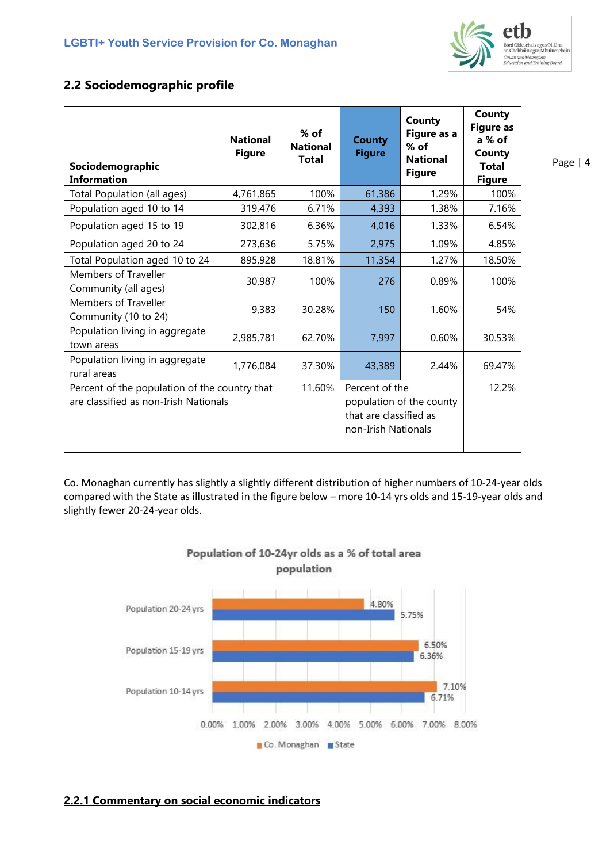

## **2.2 Sociodemographic profile**

| Sociodemographic<br><b>Information</b>                                                 | <b>National</b><br><b>Figure</b> | $%$ of<br><b>National</b><br><b>Total</b> | <b>County</b><br><b>Figure</b>                                  | <b>County</b><br>Figure as a<br>$%$ of<br><b>National</b><br><b>Figure</b> | County<br><b>Figure as</b><br>a % of<br>County<br><b>Total</b><br><b>Figure</b> |
|----------------------------------------------------------------------------------------|----------------------------------|-------------------------------------------|-----------------------------------------------------------------|----------------------------------------------------------------------------|---------------------------------------------------------------------------------|
| Total Population (all ages)                                                            | 4,761,865                        | 100%                                      | 61,386                                                          | 1.29%                                                                      | 100%                                                                            |
| Population aged 10 to 14                                                               | 319,476                          | 6.71%                                     | 4,393                                                           | 1.38%                                                                      | 7.16%                                                                           |
| Population aged 15 to 19                                                               | 302,816                          | 6.36%                                     | 4,016                                                           | 1.33%                                                                      | 6.54%                                                                           |
| Population aged 20 to 24                                                               | 273,636                          | 5.75%                                     | 2,975                                                           | 1.09%                                                                      | 4.85%                                                                           |
| Total Population aged 10 to 24                                                         | 895,928                          | 18.81%                                    | 11,354                                                          | 1.27%                                                                      | 18.50%                                                                          |
| <b>Members of Traveller</b><br>Community (all ages)                                    | 30,987                           | 100%                                      | 276                                                             | 0.89%                                                                      | 100%                                                                            |
| <b>Members of Traveller</b><br>Community (10 to 24)                                    | 9,383                            | 30.28%                                    | 150                                                             | 1.60%                                                                      | 54%                                                                             |
| Population living in aggregate<br>town areas                                           | 2,985,781                        | 62.70%                                    | 7,997                                                           | 0.60%                                                                      | 30.53%                                                                          |
| Population living in aggregate<br>rural areas                                          | 1,776,084                        | 37.30%                                    | 43,389                                                          | 2.44%                                                                      | 69.47%                                                                          |
| Percent of the population of the country that<br>are classified as non-Irish Nationals |                                  | 11.60%                                    | Percent of the<br>that are classified as<br>non-Irish Nationals | population of the county                                                   | 12.2%                                                                           |

Co. Monaghan currently has slightly a slightly different distribution of higher numbers of 10-24-year olds compared with the State as illustrated in the figure below – more 10-14 yrs olds and 15-19-year olds and slightly fewer 20-24-year olds.

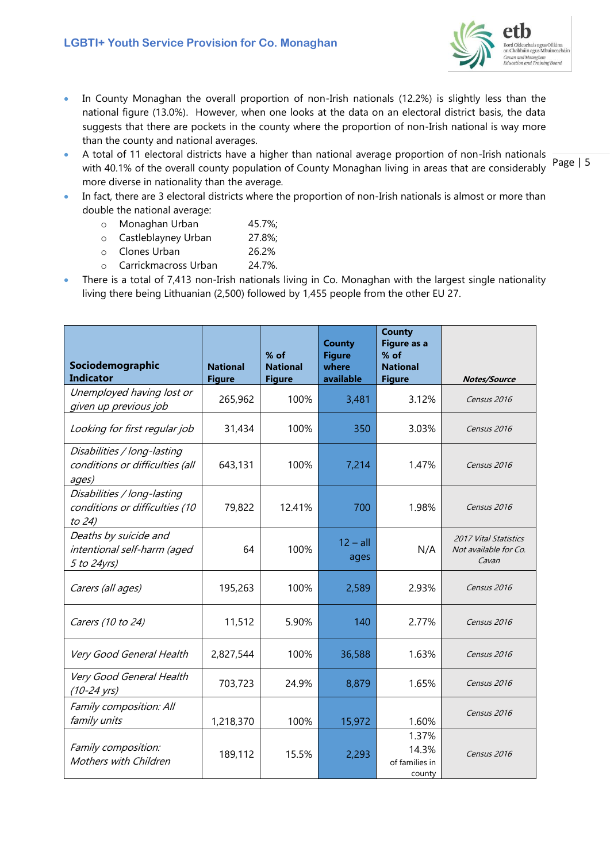

- In County Monaghan the overall proportion of non-Irish nationals (12.2%) is slightly less than the national figure (13.0%). However, when one looks at the data on an electoral district basis, the data suggests that there are pockets in the county where the proportion of non-Irish national is way more than the county and national averages.
- A total of 11 electoral districts have a higher than national average proportion of non-Irish nationals with 40.1% of the overall county population of County Monaghan living in areas that are considerably more diverse in nationality than the average.
- In fact, there are 3 electoral districts where the proportion of non-Irish nationals is almost or more than double the national average:
	- o Monaghan Urban 45.7%;
	- o Castleblayney Urban 27.8%;
	- o Clones Urban 26.2%
	- o Carrickmacross Urban 24.7%.
- There is a total of 7,413 non-Irish nationals living in Co. Monaghan with the largest single nationality living there being Lithuanian (2,500) followed by 1,455 people from the other EU 27.

| Sociodemographic<br><b>Indicator</b>                                    | <b>National</b><br><b>Figure</b> | $%$ of<br><b>National</b><br><b>Figure</b> | <b>County</b><br><b>Figure</b><br>where<br>available | <b>County</b><br>Figure as a<br>$%$ of<br><b>National</b><br><b>Figure</b> | <b>Notes/Source</b>                                            |
|-------------------------------------------------------------------------|----------------------------------|--------------------------------------------|------------------------------------------------------|----------------------------------------------------------------------------|----------------------------------------------------------------|
| Unemployed having lost or<br>given up previous job                      | 265,962                          | 100%                                       | 3,481                                                | 3.12%                                                                      | Census 2016                                                    |
| Looking for first regular job                                           | 31,434                           | 100%                                       | 350                                                  | 3.03%                                                                      | Census 2016                                                    |
| Disabilities / long-lasting<br>conditions or difficulties (all<br>ages) | 643,131                          | 100%                                       | 7,214                                                | 1.47%                                                                      | Census 2016                                                    |
| Disabilities / long-lasting<br>conditions or difficulties (10<br>to 24) | 79,822                           | 12.41%                                     | 700                                                  | 1.98%                                                                      | Census 2016                                                    |
| Deaths by suicide and<br>intentional self-harm (aged<br>5 to 24yrs)     | 64                               | 100%                                       | $12 - all$<br>ages                                   | N/A                                                                        | <b>2017 Vital Statistics</b><br>Not available for Co.<br>Cavan |
| Carers (all ages)                                                       | 195,263                          | 100%                                       | 2,589                                                | 2.93%                                                                      | Census 2016                                                    |
| Carers (10 to 24)                                                       | 11,512                           | 5.90%                                      | 140                                                  | 2.77%                                                                      | Census 2016                                                    |
| Very Good General Health                                                | 2,827,544                        | 100%                                       | 36,588                                               | 1.63%                                                                      | Census 2016                                                    |
| Very Good General Health<br>$(10-24 \text{ yrs})$                       | 703,723                          | 24.9%                                      | 8,879                                                | 1.65%                                                                      | Census 2016                                                    |
| Family composition: All<br>family units                                 | 1,218,370                        | 100%                                       | 15,972                                               | 1.60%                                                                      | Census 2016                                                    |
| Family composition:<br>Mothers with Children                            | 189,112                          | 15.5%                                      | 2,293                                                | 1.37%<br>14.3%<br>of families in<br>county                                 | Census 2016                                                    |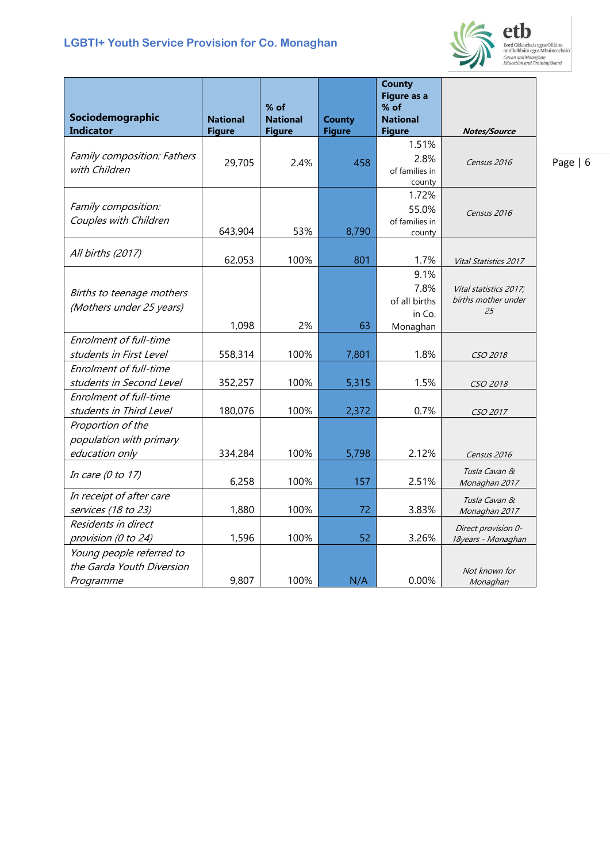### **LGBTI+ Youth Service Provision for Co. Monaghan**



etb Bord Oideachais agus Oiliúna<br>an Chabháin agus Mhuineacháin<br>Cavan and Monaghan<br>Education and Training Board

|                                                       |                 |                           |                                | <b>County</b><br><b>Figure as a</b> |                        |
|-------------------------------------------------------|-----------------|---------------------------|--------------------------------|-------------------------------------|------------------------|
| Sociodemographic                                      | <b>National</b> | $%$ of<br><b>National</b> |                                | $%$ of<br><b>National</b>           |                        |
| <b>Indicator</b>                                      | <b>Figure</b>   | <b>Figure</b>             | <b>County</b><br><b>Figure</b> | <b>Figure</b>                       | <b>Notes/Source</b>    |
|                                                       |                 |                           |                                | 1.51%                               |                        |
| Family composition: Fathers                           | 29,705          | 2.4%                      | 458                            | 2.8%                                | Census 2016            |
| with Children                                         |                 |                           |                                | of families in                      |                        |
|                                                       |                 |                           |                                | county                              |                        |
| Family composition:                                   |                 |                           |                                | 1.72%                               |                        |
| Couples with Children                                 |                 |                           |                                | 55.0%<br>of families in             | Census 2016            |
|                                                       | 643,904         | 53%                       | 8,790                          | county                              |                        |
|                                                       |                 |                           |                                |                                     |                        |
| All births (2017)                                     | 62,053          | 100%                      | 801                            | 1.7%                                | Vital Statistics 2017  |
|                                                       |                 |                           |                                | 9.1%                                |                        |
| Births to teenage mothers                             |                 |                           |                                | 7.8%                                | Vital statistics 2017; |
| (Mothers under 25 years)                              |                 |                           |                                | of all births                       | births mother under    |
|                                                       |                 |                           |                                | in Co.                              | 25                     |
| Enrolment of full-time                                | 1,098           | 2%                        | 63                             | Monaghan                            |                        |
| students in First Level                               | 558,314         | 100%                      | 7,801                          | 1.8%                                |                        |
| Enrolment of full-time                                |                 |                           |                                |                                     | CSO 2018               |
| students in Second Level                              | 352,257         | 100%                      | 5,315                          | 1.5%                                | <i>CSO 2018</i>        |
| Enrolment of full-time                                |                 |                           |                                |                                     |                        |
| students in Third Level                               | 180,076         | 100%                      | 2,372                          | 0.7%                                | CSO 2017               |
| Proportion of the                                     |                 |                           |                                |                                     |                        |
| population with primary                               |                 |                           |                                |                                     |                        |
| education only                                        | 334,284         | 100%                      | 5,798                          | 2.12%                               | Census 2016            |
| In care $(0$ to $17)$                                 |                 |                           |                                |                                     | Tusla Cavan &          |
|                                                       | 6,258           | 100%                      | 157                            | 2.51%                               | Monaghan 2017          |
| In receipt of after care                              |                 |                           |                                |                                     | Tusla Cavan &          |
| services (18 to 23)                                   | 1,880           | 100%                      | 72                             | 3.83%                               | Monaghan 2017          |
| Residents in direct                                   |                 |                           |                                |                                     | Direct provision 0-    |
| provision (0 to 24)                                   | 1,596           | 100%                      | 52                             | 3.26%                               | 18years - Monaghan     |
| Young people referred to<br>the Garda Youth Diversion |                 |                           |                                |                                     |                        |
|                                                       | 9,807           | 100%                      | N/A                            | 0.00%                               | Not known for          |
| Programme                                             |                 |                           |                                |                                     | Monaghan               |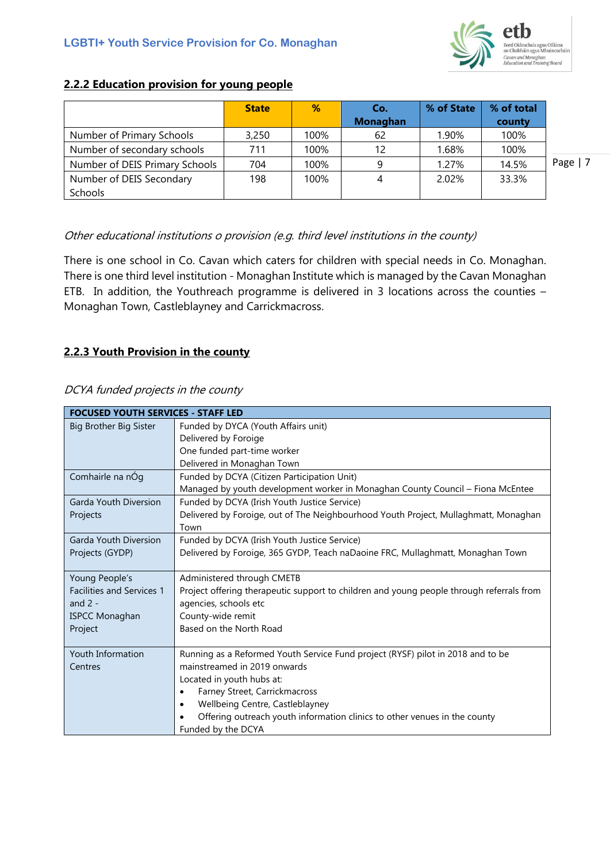

### **2.2.2 Education provision for young people**

|                                | <b>State</b> | %    | Co.<br><b>Monaghan</b> | % of State | % of total<br>county |           |
|--------------------------------|--------------|------|------------------------|------------|----------------------|-----------|
| Number of Primary Schools      | 3,250        | 100% | 62                     | 1.90%      | 100%                 |           |
| Number of secondary schools    | 711          | 100% | 12                     | 1.68%      | 100%                 |           |
| Number of DEIS Primary Schools | 704          | 100% | 9                      | 1.27%      | 14.5%                | Page $ 7$ |
| Number of DEIS Secondary       | 198          | 100% | 4                      | 2.02%      | 33.3%                |           |
| Schools                        |              |      |                        |            |                      |           |

#### Other educational institutions o provision (e.g. third level institutions in the county)

There is one school in Co. Cavan which caters for children with special needs in Co. Monaghan. There is one third level institution - Monaghan Institute which is managed by the Cavan Monaghan ETB. In addition, the Youthreach programme is delivered in 3 locations across the counties – Monaghan Town, Castleblayney and Carrickmacross.

#### **2.2.3 Youth Provision in the county**

#### DCYA funded projects in the county

| <b>FOCUSED YOUTH SERVICES - STAFF LED</b> |                                                                                          |
|-------------------------------------------|------------------------------------------------------------------------------------------|
| Big Brother Big Sister                    | Funded by DYCA (Youth Affairs unit)                                                      |
|                                           | Delivered by Foroige                                                                     |
|                                           | One funded part-time worker                                                              |
|                                           | Delivered in Monaghan Town                                                               |
| Comhairle na nÓg                          | Funded by DCYA (Citizen Participation Unit)                                              |
|                                           | Managed by youth development worker in Monaghan County Council - Fiona McEntee           |
| Garda Youth Diversion                     | Funded by DCYA (Irish Youth Justice Service)                                             |
| Projects                                  | Delivered by Foroige, out of The Neighbourhood Youth Project, Mullaghmatt, Monaghan      |
|                                           | Town                                                                                     |
| Garda Youth Diversion                     | Funded by DCYA (Irish Youth Justice Service)                                             |
| Projects (GYDP)                           | Delivered by Foroige, 365 GYDP, Teach naDaoine FRC, Mullaghmatt, Monaghan Town           |
|                                           |                                                                                          |
| Young People's                            | Administered through CMETB                                                               |
| <b>Facilities and Services 1</b>          | Project offering therapeutic support to children and young people through referrals from |
| and $2 -$                                 | agencies, schools etc                                                                    |
| <b>ISPCC Monaghan</b>                     | County-wide remit                                                                        |
| Project                                   | Based on the North Road                                                                  |
|                                           |                                                                                          |
| Youth Information                         | Running as a Reformed Youth Service Fund project (RYSF) pilot in 2018 and to be          |
| Centres                                   | mainstreamed in 2019 onwards                                                             |
|                                           | Located in youth hubs at:                                                                |
|                                           | Farney Street, Carrickmacross<br>$\bullet$                                               |
|                                           | Wellbeing Centre, Castleblayney<br>$\bullet$                                             |
|                                           | Offering outreach youth information clinics to other venues in the county                |
|                                           | Funded by the DCYA                                                                       |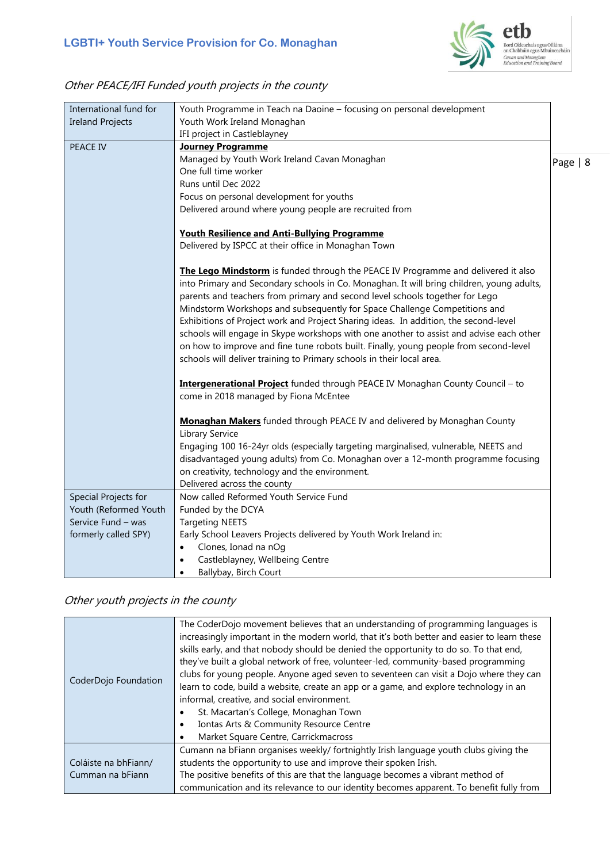

# Other PEACE/IFI Funded youth projects in the county

| International fund for  | Youth Programme in Teach na Daoine - focusing on personal development                                                                                                                                                                                                                                                                                                                                                                                                                                                                                                                                                                                                                            |          |
|-------------------------|--------------------------------------------------------------------------------------------------------------------------------------------------------------------------------------------------------------------------------------------------------------------------------------------------------------------------------------------------------------------------------------------------------------------------------------------------------------------------------------------------------------------------------------------------------------------------------------------------------------------------------------------------------------------------------------------------|----------|
| <b>Ireland Projects</b> | Youth Work Ireland Monaghan                                                                                                                                                                                                                                                                                                                                                                                                                                                                                                                                                                                                                                                                      |          |
|                         | IFI project in Castleblayney                                                                                                                                                                                                                                                                                                                                                                                                                                                                                                                                                                                                                                                                     |          |
| <b>PEACE IV</b>         | <b>Journey Programme</b>                                                                                                                                                                                                                                                                                                                                                                                                                                                                                                                                                                                                                                                                         |          |
|                         | Managed by Youth Work Ireland Cavan Monaghan                                                                                                                                                                                                                                                                                                                                                                                                                                                                                                                                                                                                                                                     | Page   8 |
|                         | One full time worker                                                                                                                                                                                                                                                                                                                                                                                                                                                                                                                                                                                                                                                                             |          |
|                         | Runs until Dec 2022                                                                                                                                                                                                                                                                                                                                                                                                                                                                                                                                                                                                                                                                              |          |
|                         | Focus on personal development for youths                                                                                                                                                                                                                                                                                                                                                                                                                                                                                                                                                                                                                                                         |          |
|                         | Delivered around where young people are recruited from                                                                                                                                                                                                                                                                                                                                                                                                                                                                                                                                                                                                                                           |          |
|                         | Youth Resilience and Anti-Bullying Programme                                                                                                                                                                                                                                                                                                                                                                                                                                                                                                                                                                                                                                                     |          |
|                         | Delivered by ISPCC at their office in Monaghan Town                                                                                                                                                                                                                                                                                                                                                                                                                                                                                                                                                                                                                                              |          |
|                         | The Lego Mindstorm is funded through the PEACE IV Programme and delivered it also<br>into Primary and Secondary schools in Co. Monaghan. It will bring children, young adults,<br>parents and teachers from primary and second level schools together for Lego<br>Mindstorm Workshops and subsequently for Space Challenge Competitions and<br>Exhibitions of Project work and Project Sharing ideas. In addition, the second-level<br>schools will engage in Skype workshops with one another to assist and advise each other<br>on how to improve and fine tune robots built. Finally, young people from second-level<br>schools will deliver training to Primary schools in their local area. |          |
|                         | Intergenerational Project funded through PEACE IV Monaghan County Council - to<br>come in 2018 managed by Fiona McEntee                                                                                                                                                                                                                                                                                                                                                                                                                                                                                                                                                                          |          |
|                         | Monaghan Makers funded through PEACE IV and delivered by Monaghan County<br>Library Service<br>Engaging 100 16-24yr olds (especially targeting marginalised, vulnerable, NEETS and<br>disadvantaged young adults) from Co. Monaghan over a 12-month programme focusing<br>on creativity, technology and the environment.<br>Delivered across the county                                                                                                                                                                                                                                                                                                                                          |          |
| Special Projects for    | Now called Reformed Youth Service Fund                                                                                                                                                                                                                                                                                                                                                                                                                                                                                                                                                                                                                                                           |          |
| Youth (Reformed Youth   | Funded by the DCYA                                                                                                                                                                                                                                                                                                                                                                                                                                                                                                                                                                                                                                                                               |          |
| Service Fund – was      | <b>Targeting NEETS</b>                                                                                                                                                                                                                                                                                                                                                                                                                                                                                                                                                                                                                                                                           |          |
| formerly called SPY)    | Early School Leavers Projects delivered by Youth Work Ireland in:                                                                                                                                                                                                                                                                                                                                                                                                                                                                                                                                                                                                                                |          |
|                         | Clones, Ionad na nOg<br>$\bullet$                                                                                                                                                                                                                                                                                                                                                                                                                                                                                                                                                                                                                                                                |          |
|                         | Castleblayney, Wellbeing Centre<br>$\bullet$                                                                                                                                                                                                                                                                                                                                                                                                                                                                                                                                                                                                                                                     |          |
|                         | Ballybay, Birch Court<br>٠                                                                                                                                                                                                                                                                                                                                                                                                                                                                                                                                                                                                                                                                       |          |

## Other youth projects in the county

| CoderDojo Foundation                     | The CoderDojo movement believes that an understanding of programming languages is<br>increasingly important in the modern world, that it's both better and easier to learn these<br>skills early, and that nobody should be denied the opportunity to do so. To that end,<br>they've built a global network of free, volunteer-led, community-based programming<br>clubs for young people. Anyone aged seven to seventeen can visit a Dojo where they can<br>learn to code, build a website, create an app or a game, and explore technology in an<br>informal, creative, and social environment.<br>St. Macartan's College, Monaghan Town<br>Iontas Arts & Community Resource Centre<br>Market Square Centre, Carrickmacross<br>٠ |
|------------------------------------------|------------------------------------------------------------------------------------------------------------------------------------------------------------------------------------------------------------------------------------------------------------------------------------------------------------------------------------------------------------------------------------------------------------------------------------------------------------------------------------------------------------------------------------------------------------------------------------------------------------------------------------------------------------------------------------------------------------------------------------|
| Coláiste na bhFiann/<br>Cumman na bFiann | Cumann na bFiann organises weekly/ fortnightly Irish language youth clubs giving the<br>students the opportunity to use and improve their spoken Irish.<br>The positive benefits of this are that the language becomes a vibrant method of<br>communication and its relevance to our identity becomes apparent. To benefit fully from                                                                                                                                                                                                                                                                                                                                                                                              |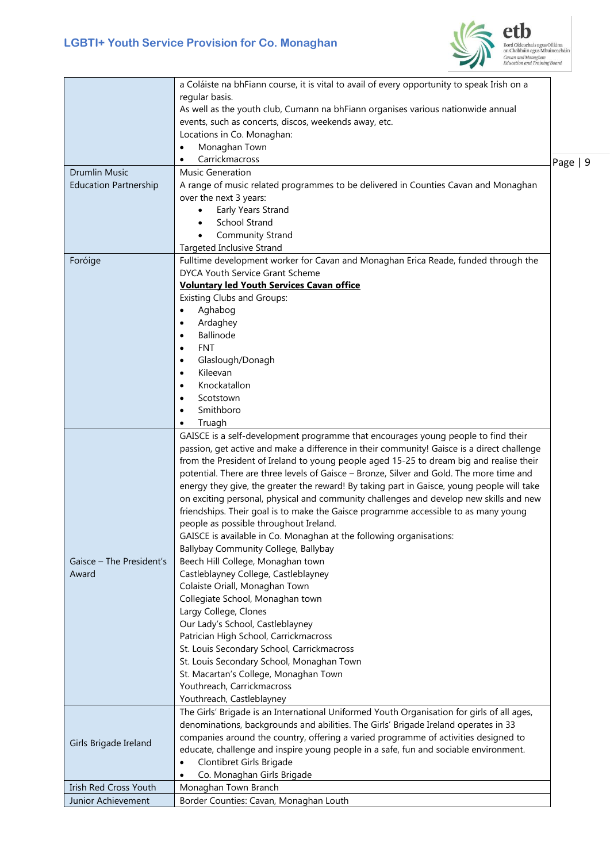

Bord Oideachais agus Oiliúna<br>an Chabháin agus Mhuineacháin<br>Cavan and Monaghan<br>Education and Training Board

|                              | a Coláiste na bhFiann course, it is vital to avail of every opportunity to speak Irish on a |          |
|------------------------------|---------------------------------------------------------------------------------------------|----------|
|                              | regular basis.                                                                              |          |
|                              | As well as the youth club, Cumann na bhFiann organises various nationwide annual            |          |
|                              | events, such as concerts, discos, weekends away, etc.                                       |          |
|                              | Locations in Co. Monaghan:                                                                  |          |
|                              | Monaghan Town<br>$\bullet$                                                                  |          |
|                              | Carrickmacross<br>$\bullet$                                                                 | Page   9 |
| <b>Drumlin Music</b>         | Music Generation                                                                            |          |
| <b>Education Partnership</b> | A range of music related programmes to be delivered in Counties Cavan and Monaghan          |          |
|                              | over the next 3 years:                                                                      |          |
|                              | Early Years Strand<br>$\bullet$                                                             |          |
|                              | <b>School Strand</b><br>$\bullet$                                                           |          |
|                              | <b>Community Strand</b>                                                                     |          |
|                              | <b>Targeted Inclusive Strand</b>                                                            |          |
| Foróige                      | Fulltime development worker for Cavan and Monaghan Erica Reade, funded through the          |          |
|                              | <b>DYCA Youth Service Grant Scheme</b>                                                      |          |
|                              | <b>Voluntary led Youth Services Cavan office</b>                                            |          |
|                              | <b>Existing Clubs and Groups:</b>                                                           |          |
|                              | Aghabog<br>$\bullet$                                                                        |          |
|                              | Ardaghey<br>$\bullet$                                                                       |          |
|                              | Ballinode<br>$\bullet$                                                                      |          |
|                              | <b>FNT</b><br>$\bullet$                                                                     |          |
|                              | Glaslough/Donagh<br>$\bullet$                                                               |          |
|                              | Kileevan<br>$\bullet$                                                                       |          |
|                              | Knockatallon<br>٠                                                                           |          |
|                              | Scotstown<br>$\bullet$                                                                      |          |
|                              | Smithboro<br>$\bullet$                                                                      |          |
|                              | Truagh<br>$\bullet$                                                                         |          |
|                              | GAISCE is a self-development programme that encourages young people to find their           |          |
|                              | passion, get active and make a difference in their community! Gaisce is a direct challenge  |          |
|                              | from the President of Ireland to young people aged 15-25 to dream big and realise their     |          |
|                              | potential. There are three levels of Gaisce - Bronze, Silver and Gold. The more time and    |          |
|                              | energy they give, the greater the reward! By taking part in Gaisce, young people will take  |          |
|                              | on exciting personal, physical and community challenges and develop new skills and new      |          |
|                              | friendships. Their goal is to make the Gaisce programme accessible to as many young         |          |
|                              | people as possible throughout Ireland.                                                      |          |
|                              | GAISCE is available in Co. Monaghan at the following organisations:                         |          |
|                              | Ballybay Community College, Ballybay                                                        |          |
| Gaisce - The President's     | Beech Hill College, Monaghan town                                                           |          |
| Award                        | Castleblayney College, Castleblayney                                                        |          |
|                              | Colaiste Oriall, Monaghan Town                                                              |          |
|                              | Collegiate School, Monaghan town                                                            |          |
|                              | Largy College, Clones                                                                       |          |
|                              | Our Lady's School, Castleblayney                                                            |          |
|                              | Patrician High School, Carrickmacross                                                       |          |
|                              | St. Louis Secondary School, Carrickmacross                                                  |          |
|                              | St. Louis Secondary School, Monaghan Town                                                   |          |
|                              | St. Macartan's College, Monaghan Town                                                       |          |
|                              | Youthreach, Carrickmacross                                                                  |          |
|                              | Youthreach, Castleblayney                                                                   |          |
|                              | The Girls' Brigade is an International Uniformed Youth Organisation for girls of all ages,  |          |
|                              | denominations, backgrounds and abilities. The Girls' Brigade Ireland operates in 33         |          |
| Girls Brigade Ireland        | companies around the country, offering a varied programme of activities designed to         |          |
|                              | educate, challenge and inspire young people in a safe, fun and sociable environment.        |          |
|                              | Clontibret Girls Brigade<br>$\bullet$                                                       |          |
|                              | Co. Monaghan Girls Brigade<br>$\bullet$                                                     |          |
| Irish Red Cross Youth        | Monaghan Town Branch                                                                        |          |
| Junior Achievement           | Border Counties: Cavan, Monaghan Louth                                                      |          |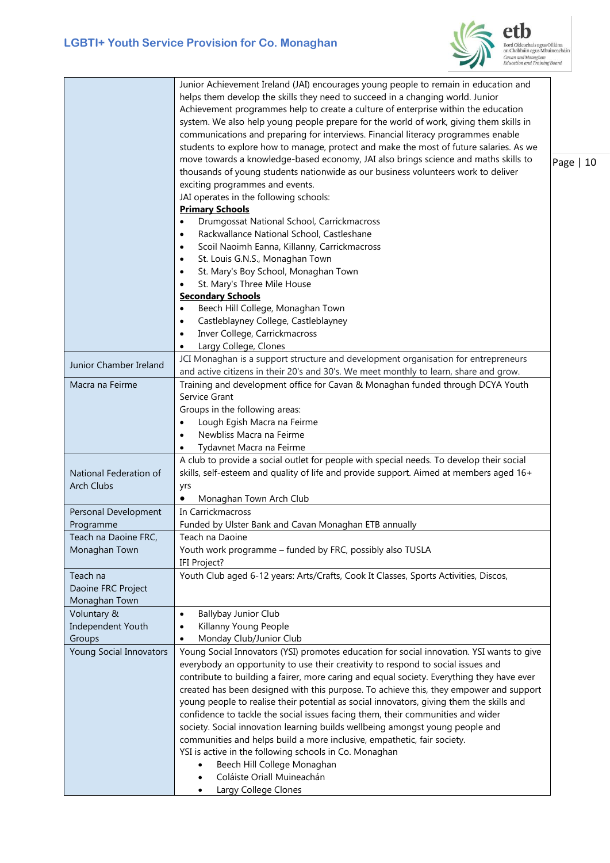

etb Bord Oideachais agus Oiliúna<br>an Chabháin agus Mhuineacháin<br>Cavan and Monaghan<br>Education and Training Board

|                                                 | Junior Achievement Ireland (JAI) encourages young people to remain in education and<br>helps them develop the skills they need to succeed in a changing world. Junior<br>Achievement programmes help to create a culture of enterprise within the education<br>system. We also help young people prepare for the world of work, giving them skills in<br>communications and preparing for interviews. Financial literacy programmes enable<br>students to explore how to manage, protect and make the most of future salaries. As we<br>move towards a knowledge-based economy, JAI also brings science and maths skills to<br>thousands of young students nationwide as our business volunteers work to deliver<br>exciting programmes and events.<br>JAI operates in the following schools:<br><b>Primary Schools</b><br>Drumgossat National School, Carrickmacross<br>$\bullet$<br>Rackwallance National School, Castleshane<br>$\bullet$<br>Scoil Naoimh Eanna, Killanny, Carrickmacross<br>$\bullet$<br>St. Louis G.N.S., Monaghan Town<br>$\bullet$<br>St. Mary's Boy School, Monaghan Town<br>$\bullet$<br>St. Mary's Three Mile House<br><b>Secondary Schools</b><br>Beech Hill College, Monaghan Town<br>$\bullet$<br>Castleblayney College, Castleblayney<br>$\bullet$<br>Inver College, Carrickmacross<br>$\bullet$<br>Largy College, Clones<br>$\bullet$ | Page   10 |
|-------------------------------------------------|----------------------------------------------------------------------------------------------------------------------------------------------------------------------------------------------------------------------------------------------------------------------------------------------------------------------------------------------------------------------------------------------------------------------------------------------------------------------------------------------------------------------------------------------------------------------------------------------------------------------------------------------------------------------------------------------------------------------------------------------------------------------------------------------------------------------------------------------------------------------------------------------------------------------------------------------------------------------------------------------------------------------------------------------------------------------------------------------------------------------------------------------------------------------------------------------------------------------------------------------------------------------------------------------------------------------------------------------------------------------|-----------|
| Junior Chamber Ireland                          | JCI Monaghan is a support structure and development organisation for entrepreneurs                                                                                                                                                                                                                                                                                                                                                                                                                                                                                                                                                                                                                                                                                                                                                                                                                                                                                                                                                                                                                                                                                                                                                                                                                                                                                   |           |
|                                                 | and active citizens in their 20's and 30's. We meet monthly to learn, share and grow.                                                                                                                                                                                                                                                                                                                                                                                                                                                                                                                                                                                                                                                                                                                                                                                                                                                                                                                                                                                                                                                                                                                                                                                                                                                                                |           |
| Macra na Feirme                                 | Training and development office for Cavan & Monaghan funded through DCYA Youth<br>Service Grant<br>Groups in the following areas:<br>Lough Egish Macra na Feirme<br>Newbliss Macra na Feirme                                                                                                                                                                                                                                                                                                                                                                                                                                                                                                                                                                                                                                                                                                                                                                                                                                                                                                                                                                                                                                                                                                                                                                         |           |
|                                                 | Tydavnet Macra na Feirme                                                                                                                                                                                                                                                                                                                                                                                                                                                                                                                                                                                                                                                                                                                                                                                                                                                                                                                                                                                                                                                                                                                                                                                                                                                                                                                                             |           |
| National Federation of<br><b>Arch Clubs</b>     | A club to provide a social outlet for people with special needs. To develop their social<br>skills, self-esteem and quality of life and provide support. Aimed at members aged 16+<br>yrs<br>Monaghan Town Arch Club<br>$\bullet$                                                                                                                                                                                                                                                                                                                                                                                                                                                                                                                                                                                                                                                                                                                                                                                                                                                                                                                                                                                                                                                                                                                                    |           |
| Personal Development                            | In Carrickmacross                                                                                                                                                                                                                                                                                                                                                                                                                                                                                                                                                                                                                                                                                                                                                                                                                                                                                                                                                                                                                                                                                                                                                                                                                                                                                                                                                    |           |
| Programme                                       | Funded by Ulster Bank and Cavan Monaghan ETB annually                                                                                                                                                                                                                                                                                                                                                                                                                                                                                                                                                                                                                                                                                                                                                                                                                                                                                                                                                                                                                                                                                                                                                                                                                                                                                                                |           |
| Teach na Daoine FRC,                            | Teach na Daoine                                                                                                                                                                                                                                                                                                                                                                                                                                                                                                                                                                                                                                                                                                                                                                                                                                                                                                                                                                                                                                                                                                                                                                                                                                                                                                                                                      |           |
| Monaghan Town                                   | Youth work programme - funded by FRC, possibly also TUSLA                                                                                                                                                                                                                                                                                                                                                                                                                                                                                                                                                                                                                                                                                                                                                                                                                                                                                                                                                                                                                                                                                                                                                                                                                                                                                                            |           |
|                                                 | IFI Project?                                                                                                                                                                                                                                                                                                                                                                                                                                                                                                                                                                                                                                                                                                                                                                                                                                                                                                                                                                                                                                                                                                                                                                                                                                                                                                                                                         |           |
| Teach na<br>Daoine FRC Project<br>Monaghan Town | Youth Club aged 6-12 years: Arts/Crafts, Cook It Classes, Sports Activities, Discos,                                                                                                                                                                                                                                                                                                                                                                                                                                                                                                                                                                                                                                                                                                                                                                                                                                                                                                                                                                                                                                                                                                                                                                                                                                                                                 |           |
| Voluntary &                                     | <b>Ballybay Junior Club</b><br>$\bullet$                                                                                                                                                                                                                                                                                                                                                                                                                                                                                                                                                                                                                                                                                                                                                                                                                                                                                                                                                                                                                                                                                                                                                                                                                                                                                                                             |           |
| Independent Youth                               | Killanny Young People                                                                                                                                                                                                                                                                                                                                                                                                                                                                                                                                                                                                                                                                                                                                                                                                                                                                                                                                                                                                                                                                                                                                                                                                                                                                                                                                                |           |
| Groups                                          | Monday Club/Junior Club                                                                                                                                                                                                                                                                                                                                                                                                                                                                                                                                                                                                                                                                                                                                                                                                                                                                                                                                                                                                                                                                                                                                                                                                                                                                                                                                              |           |
| Young Social Innovators                         | Young Social Innovators (YSI) promotes education for social innovation. YSI wants to give<br>everybody an opportunity to use their creativity to respond to social issues and                                                                                                                                                                                                                                                                                                                                                                                                                                                                                                                                                                                                                                                                                                                                                                                                                                                                                                                                                                                                                                                                                                                                                                                        |           |
|                                                 | contribute to building a fairer, more caring and equal society. Everything they have ever                                                                                                                                                                                                                                                                                                                                                                                                                                                                                                                                                                                                                                                                                                                                                                                                                                                                                                                                                                                                                                                                                                                                                                                                                                                                            |           |
|                                                 | created has been designed with this purpose. To achieve this, they empower and support<br>young people to realise their potential as social innovators, giving them the skills and                                                                                                                                                                                                                                                                                                                                                                                                                                                                                                                                                                                                                                                                                                                                                                                                                                                                                                                                                                                                                                                                                                                                                                                   |           |
|                                                 | confidence to tackle the social issues facing them, their communities and wider                                                                                                                                                                                                                                                                                                                                                                                                                                                                                                                                                                                                                                                                                                                                                                                                                                                                                                                                                                                                                                                                                                                                                                                                                                                                                      |           |
|                                                 | society. Social innovation learning builds wellbeing amongst young people and                                                                                                                                                                                                                                                                                                                                                                                                                                                                                                                                                                                                                                                                                                                                                                                                                                                                                                                                                                                                                                                                                                                                                                                                                                                                                        |           |
|                                                 | communities and helps build a more inclusive, empathetic, fair society.                                                                                                                                                                                                                                                                                                                                                                                                                                                                                                                                                                                                                                                                                                                                                                                                                                                                                                                                                                                                                                                                                                                                                                                                                                                                                              |           |
|                                                 | YSI is active in the following schools in Co. Monaghan                                                                                                                                                                                                                                                                                                                                                                                                                                                                                                                                                                                                                                                                                                                                                                                                                                                                                                                                                                                                                                                                                                                                                                                                                                                                                                               |           |
|                                                 | Beech Hill College Monaghan                                                                                                                                                                                                                                                                                                                                                                                                                                                                                                                                                                                                                                                                                                                                                                                                                                                                                                                                                                                                                                                                                                                                                                                                                                                                                                                                          |           |
|                                                 | Coláiste Oriall Muineachán                                                                                                                                                                                                                                                                                                                                                                                                                                                                                                                                                                                                                                                                                                                                                                                                                                                                                                                                                                                                                                                                                                                                                                                                                                                                                                                                           |           |
|                                                 | Largy College Clones<br>$\bullet$                                                                                                                                                                                                                                                                                                                                                                                                                                                                                                                                                                                                                                                                                                                                                                                                                                                                                                                                                                                                                                                                                                                                                                                                                                                                                                                                    |           |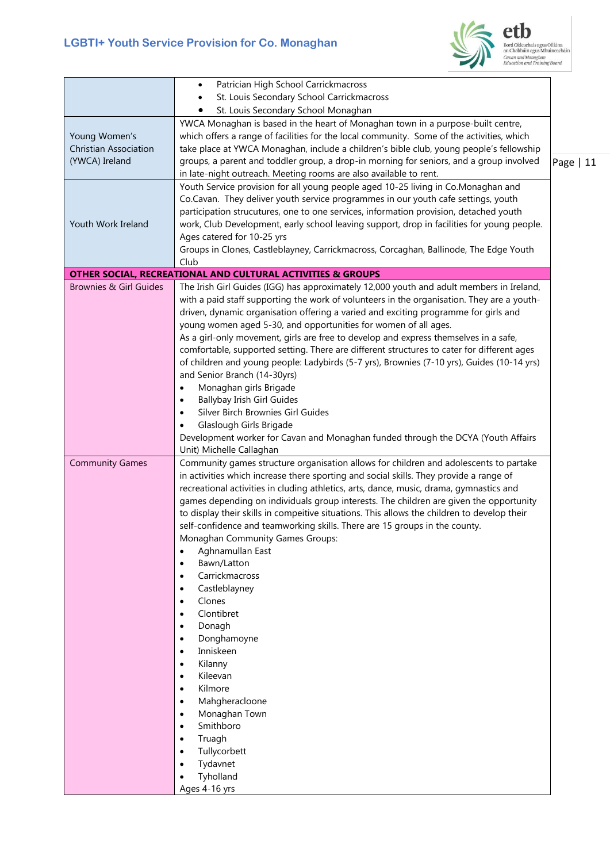## **LGBTI+ Youth Service Provision for Co. Monaghan**



Bord Oideachais agus Oiliúna<br>an Chabháin agus Mhuineacháin<br>Cavan and Monaghan<br>Education and Training Board

|                                   | Patrician High School Carrickmacross<br>$\bullet$                                                                                                                  |            |
|-----------------------------------|--------------------------------------------------------------------------------------------------------------------------------------------------------------------|------------|
|                                   | St. Louis Secondary School Carrickmacross                                                                                                                          |            |
|                                   | St. Louis Secondary School Monaghan                                                                                                                                |            |
|                                   | YWCA Monaghan is based in the heart of Monaghan town in a purpose-built centre,                                                                                    |            |
|                                   | which offers a range of facilities for the local community. Some of the activities, which                                                                          |            |
| Young Women's                     |                                                                                                                                                                    |            |
| <b>Christian Association</b>      | take place at YWCA Monaghan, include a children's bible club, young people's fellowship                                                                            |            |
| (YWCA) Ireland                    | groups, a parent and toddler group, a drop-in morning for seniors, and a group involved                                                                            | Page $ 11$ |
|                                   | in late-night outreach. Meeting rooms are also available to rent.                                                                                                  |            |
|                                   | Youth Service provision for all young people aged 10-25 living in Co.Monaghan and                                                                                  |            |
|                                   | Co.Cavan. They deliver youth service programmes in our youth cafe settings, youth                                                                                  |            |
|                                   | participation strucutures, one to one services, information provision, detached youth                                                                              |            |
| Youth Work Ireland                | work, Club Development, early school leaving support, drop in facilities for young people.                                                                         |            |
|                                   | Ages catered for 10-25 yrs                                                                                                                                         |            |
|                                   | Groups in Clones, Castleblayney, Carrickmacross, Corcaghan, Ballinode, The Edge Youth                                                                              |            |
|                                   | Club                                                                                                                                                               |            |
| <b>Brownies &amp; Girl Guides</b> | <b>OTHER SOCIAL, RECREATIONAL AND CULTURAL ACTIVITIES &amp; GROUPS</b><br>The Irish Girl Guides (IGG) has approximately 12,000 youth and adult members in Ireland, |            |
|                                   |                                                                                                                                                                    |            |
|                                   | with a paid staff supporting the work of volunteers in the organisation. They are a youth-                                                                         |            |
|                                   | driven, dynamic organisation offering a varied and exciting programme for girls and                                                                                |            |
|                                   | young women aged 5-30, and opportunities for women of all ages.                                                                                                    |            |
|                                   | As a girl-only movement, girls are free to develop and express themselves in a safe,                                                                               |            |
|                                   | comfortable, supported setting. There are different structures to cater for different ages                                                                         |            |
|                                   | of children and young people: Ladybirds (5-7 yrs), Brownies (7-10 yrs), Guides (10-14 yrs)                                                                         |            |
|                                   | and Senior Branch (14-30yrs)                                                                                                                                       |            |
|                                   | Monaghan girls Brigade<br>٠                                                                                                                                        |            |
|                                   | <b>Ballybay Irish Girl Guides</b><br>$\bullet$                                                                                                                     |            |
|                                   | Silver Birch Brownies Girl Guides<br>$\bullet$                                                                                                                     |            |
|                                   | Glaslough Girls Brigade                                                                                                                                            |            |
|                                   | Development worker for Cavan and Monaghan funded through the DCYA (Youth Affairs                                                                                   |            |
|                                   | Unit) Michelle Callaghan                                                                                                                                           |            |
| <b>Community Games</b>            | Community games structure organisation allows for children and adolescents to partake                                                                              |            |
|                                   | in activities which increase there sporting and social skills. They provide a range of                                                                             |            |
|                                   | recreational activities in cluding athletics, arts, dance, music, drama, gymnastics and                                                                            |            |
|                                   | games depending on individuals group interests. The children are given the opportunity                                                                             |            |
|                                   | to display their skills in compeitive situations. This allows the children to develop their                                                                        |            |
|                                   | self-confidence and teamworking skills. There are 15 groups in the county.                                                                                         |            |
|                                   | Monaghan Community Games Groups:                                                                                                                                   |            |
|                                   | Aghnamullan East<br>$\bullet$                                                                                                                                      |            |
|                                   | Bawn/Latton<br>$\bullet$                                                                                                                                           |            |
|                                   | Carrickmacross<br>$\bullet$                                                                                                                                        |            |
|                                   | Castleblayney<br>$\bullet$                                                                                                                                         |            |
|                                   | Clones<br>$\bullet$                                                                                                                                                |            |
|                                   | Clontibret<br>$\bullet$                                                                                                                                            |            |
|                                   | Donagh<br>$\bullet$                                                                                                                                                |            |
|                                   | Donghamoyne<br>$\bullet$                                                                                                                                           |            |
|                                   | Inniskeen<br>$\bullet$                                                                                                                                             |            |
|                                   | Kilanny<br>$\bullet$                                                                                                                                               |            |
|                                   | Kileevan<br>$\bullet$                                                                                                                                              |            |
|                                   | Kilmore<br>$\bullet$                                                                                                                                               |            |
|                                   | Mahgheracloone<br>$\bullet$                                                                                                                                        |            |
|                                   | Monaghan Town<br>$\bullet$                                                                                                                                         |            |
|                                   | Smithboro<br>$\bullet$                                                                                                                                             |            |
|                                   | Truagh<br>$\bullet$                                                                                                                                                |            |
|                                   | Tullycorbett<br>$\bullet$                                                                                                                                          |            |
|                                   | Tydavnet<br>٠                                                                                                                                                      |            |
|                                   | Tyholland<br>٠                                                                                                                                                     |            |
|                                   | Ages 4-16 yrs                                                                                                                                                      |            |
|                                   |                                                                                                                                                                    |            |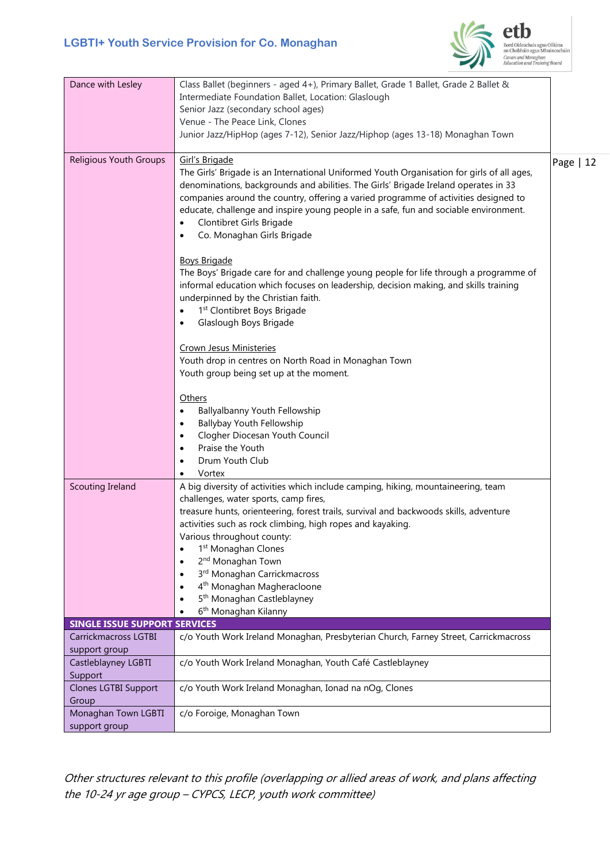

| Dance with Lesley                     | Class Ballet (beginners - aged 4+), Primary Ballet, Grade 1 Ballet, Grade 2 Ballet &<br>Intermediate Foundation Ballet, Location: Glaslough<br>Senior Jazz (secondary school ages)<br>Venue - The Peace Link, Clones<br>Junior Jazz/HipHop (ages 7-12), Senior Jazz/Hiphop (ages 13-18) Monaghan Town                                                                                                                                                                                                                                                                                                                                                                                                                                                                                                                                                                                                                                              |             |
|---------------------------------------|----------------------------------------------------------------------------------------------------------------------------------------------------------------------------------------------------------------------------------------------------------------------------------------------------------------------------------------------------------------------------------------------------------------------------------------------------------------------------------------------------------------------------------------------------------------------------------------------------------------------------------------------------------------------------------------------------------------------------------------------------------------------------------------------------------------------------------------------------------------------------------------------------------------------------------------------------|-------------|
| Religious Youth Groups                | Girl's Brigade<br>The Girls' Brigade is an International Uniformed Youth Organisation for girls of all ages,<br>denominations, backgrounds and abilities. The Girls' Brigade Ireland operates in 33<br>companies around the country, offering a varied programme of activities designed to<br>educate, challenge and inspire young people in a safe, fun and sociable environment.<br>Clontibret Girls Brigade<br>$\bullet$<br>Co. Monaghan Girls Brigade<br>$\bullet$<br><b>Boys Brigade</b><br>The Boys' Brigade care for and challenge young people for life through a programme of<br>informal education which focuses on leadership, decision making, and skills training<br>underpinned by the Christian faith.<br>1 <sup>st</sup> Clontibret Boys Brigade<br>$\bullet$<br>Glaslough Boys Brigade<br>$\bullet$<br>Crown Jesus Ministeries<br>Youth drop in centres on North Road in Monaghan Town<br>Youth group being set up at the moment. | Page $ 12 $ |
|                                       | Others<br>Ballyalbanny Youth Fellowship<br>$\bullet$<br><b>Ballybay Youth Fellowship</b><br>$\bullet$<br>Clogher Diocesan Youth Council<br>$\bullet$<br>Praise the Youth<br>$\bullet$<br>Drum Youth Club<br>٠<br>Vortex<br>٠                                                                                                                                                                                                                                                                                                                                                                                                                                                                                                                                                                                                                                                                                                                       |             |
| Scouting Ireland                      | A big diversity of activities which include camping, hiking, mountaineering, team<br>challenges, water sports, camp fires,<br>treasure hunts, orienteering, forest trails, survival and backwoods skills, adventure<br>activities such as rock climbing, high ropes and kayaking.<br>Various throughout county:<br>1 <sup>st</sup> Monaghan Clones<br>٠<br>2 <sup>nd</sup> Monaghan Town<br>$\bullet$<br>3rd Monaghan Carrickmacross<br>4 <sup>th</sup> Monaghan Magheracloone<br>5 <sup>th</sup> Monaghan Castleblayney<br>6 <sup>th</sup> Monaghan Kilanny                                                                                                                                                                                                                                                                                                                                                                                       |             |
| <b>SINGLE ISSUE SUPPORT SERVICES</b>  |                                                                                                                                                                                                                                                                                                                                                                                                                                                                                                                                                                                                                                                                                                                                                                                                                                                                                                                                                    |             |
| Carrickmacross LGTBI<br>support group | c/o Youth Work Ireland Monaghan, Presbyterian Church, Farney Street, Carrickmacross                                                                                                                                                                                                                                                                                                                                                                                                                                                                                                                                                                                                                                                                                                                                                                                                                                                                |             |
| Castleblayney LGBTI<br>Support        | c/o Youth Work Ireland Monaghan, Youth Café Castleblayney                                                                                                                                                                                                                                                                                                                                                                                                                                                                                                                                                                                                                                                                                                                                                                                                                                                                                          |             |
| <b>Clones LGTBI Support</b><br>Group  | c/o Youth Work Ireland Monaghan, Ionad na nOg, Clones                                                                                                                                                                                                                                                                                                                                                                                                                                                                                                                                                                                                                                                                                                                                                                                                                                                                                              |             |
| Monaghan Town LGBTI<br>support group  | c/o Foroige, Monaghan Town                                                                                                                                                                                                                                                                                                                                                                                                                                                                                                                                                                                                                                                                                                                                                                                                                                                                                                                         |             |

Other structures relevant to this profile (overlapping or allied areas of work, and plans affecting the 10-24 yr age group – CYPCS, LECP, youth work committee)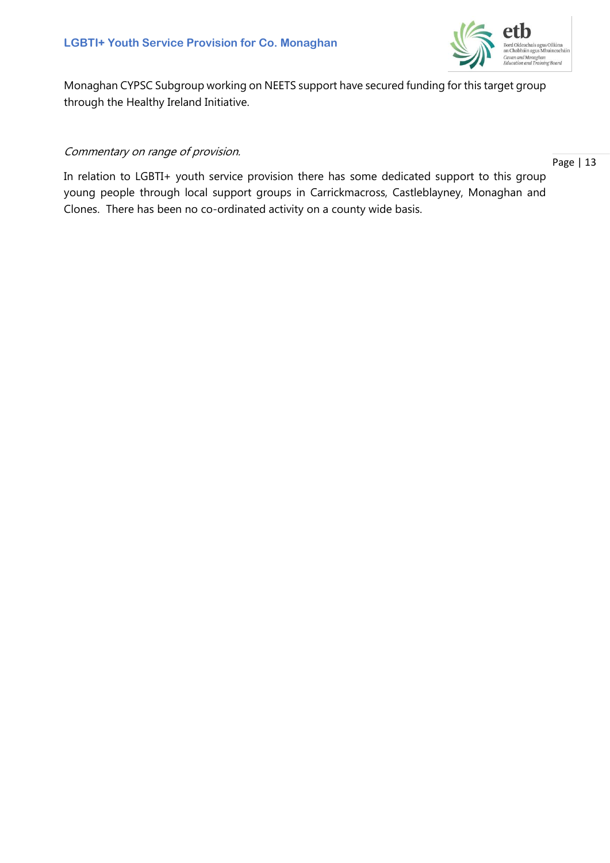

Monaghan CYPSC Subgroup working on NEETS support have secured funding for this target group through the Healthy Ireland Initiative.

#### Commentary on range of provision.

Page | 13

In relation to LGBTI+ youth service provision there has some dedicated support to this group young people through local support groups in Carrickmacross, Castleblayney, Monaghan and Clones. There has been no co-ordinated activity on a county wide basis.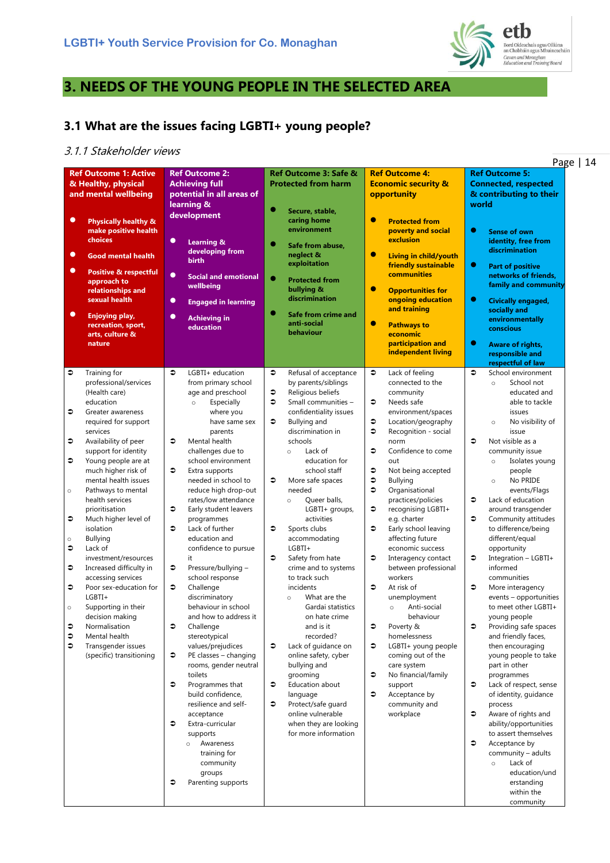

# **3. NEEDS OF THE YOUNG PEOPLE IN THE SELECTED AREA**

# **3.1 What are the issues facing LGBTI+ young people?**

#### 3.1.1 Stakeholder views

|                                                                                                                                      | <i>Junenonuel</i><br>Page   14                                                                                                                                                                                                                                                                                                                                                                                                                                                                                                                                                                                                |                                                                                                                                                                                                                                                                                                                                                                                                                                                                                                                                                                                                                                                                                                                                                                                                                                                                                                            |                                                                                                                                                                                                                                                                                                                                                                                                                                                                                                                                                                                                                                                                                                                                                                                                   |                                                                                                                                                                                                                                                                                                                                                                                                                                                                                                                                                                                                                                                                                                                                                                        |                                                                                                                                                                                                                                                                                                                                                                                                                                                                                                                                                                                                                                                                                                                                                                                                                                                                                            |  |  |  |  |
|--------------------------------------------------------------------------------------------------------------------------------------|-------------------------------------------------------------------------------------------------------------------------------------------------------------------------------------------------------------------------------------------------------------------------------------------------------------------------------------------------------------------------------------------------------------------------------------------------------------------------------------------------------------------------------------------------------------------------------------------------------------------------------|------------------------------------------------------------------------------------------------------------------------------------------------------------------------------------------------------------------------------------------------------------------------------------------------------------------------------------------------------------------------------------------------------------------------------------------------------------------------------------------------------------------------------------------------------------------------------------------------------------------------------------------------------------------------------------------------------------------------------------------------------------------------------------------------------------------------------------------------------------------------------------------------------------|---------------------------------------------------------------------------------------------------------------------------------------------------------------------------------------------------------------------------------------------------------------------------------------------------------------------------------------------------------------------------------------------------------------------------------------------------------------------------------------------------------------------------------------------------------------------------------------------------------------------------------------------------------------------------------------------------------------------------------------------------------------------------------------------------|------------------------------------------------------------------------------------------------------------------------------------------------------------------------------------------------------------------------------------------------------------------------------------------------------------------------------------------------------------------------------------------------------------------------------------------------------------------------------------------------------------------------------------------------------------------------------------------------------------------------------------------------------------------------------------------------------------------------------------------------------------------------|--------------------------------------------------------------------------------------------------------------------------------------------------------------------------------------------------------------------------------------------------------------------------------------------------------------------------------------------------------------------------------------------------------------------------------------------------------------------------------------------------------------------------------------------------------------------------------------------------------------------------------------------------------------------------------------------------------------------------------------------------------------------------------------------------------------------------------------------------------------------------------------------|--|--|--|--|
| $\bullet$<br>$\bullet$<br>$\bullet$<br>$\bullet$                                                                                     | <b>Ref Outcome 1: Active</b><br>& Healthy, physical<br>and mental wellbeing<br><b>Physically healthy &amp;</b><br>make positive health<br>choices<br><b>Good mental health</b><br><b>Positive &amp; respectful</b><br>approach to<br>relationships and<br>sexual health<br>Enjoying play,<br>recreation, sport,<br>arts, culture &<br>nature                                                                                                                                                                                                                                                                                  | <b>Ref Outcome 2:</b><br><b>Achieving full</b><br>potential in all areas of<br>learning &<br>development<br>$\bullet$<br><b>Learning &amp;</b><br>developing from<br><b>birth</b><br>$\bullet$<br><b>Social and emotional</b><br>wellbeing<br>$\bullet$<br><b>Engaged in learning</b><br>$\bullet$<br><b>Achieving in</b><br>education                                                                                                                                                                                                                                                                                                                                                                                                                                                                                                                                                                     | Ref Outcome 3: Safe &<br><b>Protected from harm</b><br>Secure, stable,<br>caring home<br>environment<br>Safe from abuse,<br>neglect &<br>exploitation<br>٠<br><b>Protected from</b><br>bullying &<br>discrimination<br>Safe from crime and<br>anti-social<br>behaviour                                                                                                                                                                                                                                                                                                                                                                                                                                                                                                                            | <b>Ref Outcome 4:</b><br><b>Economic security &amp;</b><br>opportunity<br>$\bullet$<br><b>Protected from</b><br>poverty and social<br>exclusion<br>$\bullet$<br>Living in child/youth<br>friendly sustainable<br><b>communities</b><br>$\bullet$<br><b>Opportunities for</b><br>ongoing education<br>and training<br>$\bullet$<br><b>Pathways to</b><br>economic<br>participation and<br>independent living                                                                                                                                                                                                                                                                                                                                                            | <b>Ref Outcome 5:</b><br><b>Connected, respected</b><br>& contributing to their<br>world<br>$\bullet$<br><b>Sense of own</b><br>identity, free from<br>discrimination<br>$\bullet$<br><b>Part of positive</b><br>networks of friends,<br>family and community<br>$\bullet$<br>Civically engaged,<br>socially and<br>environmentally<br>conscious<br>$\bullet$<br>Aware of rights,<br>responsible and                                                                                                                                                                                                                                                                                                                                                                                                                                                                                       |  |  |  |  |
|                                                                                                                                      |                                                                                                                                                                                                                                                                                                                                                                                                                                                                                                                                                                                                                               |                                                                                                                                                                                                                                                                                                                                                                                                                                                                                                                                                                                                                                                                                                                                                                                                                                                                                                            |                                                                                                                                                                                                                                                                                                                                                                                                                                                                                                                                                                                                                                                                                                                                                                                                   |                                                                                                                                                                                                                                                                                                                                                                                                                                                                                                                                                                                                                                                                                                                                                                        | respectful of law                                                                                                                                                                                                                                                                                                                                                                                                                                                                                                                                                                                                                                                                                                                                                                                                                                                                          |  |  |  |  |
| $\bullet$<br>€<br>€<br>€<br>$\circ$<br>$\bullet$<br>$\circ$<br>$\bullet$<br>$\bullet$<br>$\bullet$<br>$\circ$<br>$\bullet$<br>€<br>€ | Training for<br>professional/services<br>(Health care)<br>education<br>Greater awareness<br>required for support<br>services<br>Availability of peer<br>support for identity<br>Young people are at<br>much higher risk of<br>mental health issues<br>Pathways to mental<br>health services<br>prioritisation<br>Much higher level of<br>isolation<br><b>Bullying</b><br>Lack of<br>investment/resources<br>Increased difficulty in<br>accessing services<br>Poor sex-education for<br>$LGBTI+$<br>Supporting in their<br>decision making<br>Normalisation<br>Mental health<br>Transgender issues<br>(specific) transitioning | $\bullet$<br>LGBTI+ education<br>from primary school<br>age and preschool<br>Especially<br>$\circ$<br>where you<br>have same sex<br>parents<br>$\bullet$<br>Mental health<br>challenges due to<br>school environment<br>$\bullet$<br>Extra supports<br>needed in school to<br>reduce high drop-out<br>rates/low attendance<br>€<br>Early student leavers<br>programmes<br>$\bullet$<br>Lack of further<br>education and<br>confidence to pursue<br>it<br>$\bullet$<br>Pressure/bullying -<br>school response<br>$\bullet$<br>Challenge<br>discriminatory<br>behaviour in school<br>and how to address it<br>€<br>Challenge<br>stereotypical<br>values/prejudices<br>∍<br>PE classes - changing<br>rooms, gender neutral<br>toilets<br>$\bullet$<br>Programmes that<br>build confidence,<br>resilience and self-<br>acceptance<br>€<br>Extra-curricular<br>supports<br>Awareness<br>$\circ$<br>training for | Refusal of acceptance<br>€<br>by parents/siblings<br>Religious beliefs<br>€<br>Small communities -<br>∍<br>confidentiality issues<br><b>Bullying and</b><br>€<br>discrimination in<br>schools<br>Lack of<br>$\circ$<br>education for<br>school staff<br>€<br>More safe spaces<br>needed<br>Queer balls,<br>$\circ$<br>LGBTI+ groups,<br>activities<br>Sports clubs<br>€<br>accommodating<br>LGBTI+<br>€<br>Safety from hate<br>crime and to systems<br>to track such<br>incidents<br>What are the<br>$\circ$<br>Gardai statistics<br>on hate crime<br>and is it<br>recorded?<br>€<br>Lack of guidance on<br>online safety, cyber<br>bullying and<br>grooming<br>Education about<br>€<br>language<br>€<br>Protect/safe guard<br>online vulnerable<br>when they are looking<br>for more information | $\bullet$<br>Lack of feeling<br>connected to the<br>community<br>€<br>Needs safe<br>environment/spaces<br>€<br>Location/geography<br>€<br>Recognition - social<br>norm<br>∍<br>Confidence to come<br>out<br>€<br>Not being accepted<br>€<br><b>Bullying</b><br>$\bullet$<br>Organisational<br>practices/policies<br>€<br>recognising LGBTI+<br>e.g. charter<br>∍<br>Early school leaving<br>affecting future<br>economic success<br>€<br>Interagency contact<br>between professional<br>workers<br>∍<br>At risk of<br>unemployment<br>Anti-social<br>$\circ$<br>behaviour<br>€<br>Poverty &<br>homelessness<br>€<br>LGBTI+ young people<br>coming out of the<br>care system<br>€<br>No financial/family<br>support<br>€<br>Acceptance by<br>community and<br>workplace | $\bullet$<br>School environment<br>School not<br>$\circ$<br>educated and<br>able to tackle<br>issues<br>No visibility of<br>$\circ$<br>issue<br>Not visible as a<br>≎<br>community issue<br>Isolates young<br>$\circ$<br>people<br>No PRIDE<br>$\circ$<br>events/Flags<br>Lack of education<br>€<br>around transgender<br>€<br>Community attitudes<br>to difference/being<br>different/equal<br>opportunity<br>Integration - LGBTI+<br>€<br>informed<br>communities<br>€<br>More interagency<br>events - opportunities<br>to meet other LGBTI+<br>young people<br>€<br>Providing safe spaces<br>and friendly faces,<br>then encouraging<br>young people to take<br>part in other<br>programmes<br>€<br>Lack of respect, sense<br>of identity, guidance<br>process<br>€<br>Aware of rights and<br>ability/opportunities<br>to assert themselves<br>€<br>Acceptance by<br>community - adults |  |  |  |  |
|                                                                                                                                      |                                                                                                                                                                                                                                                                                                                                                                                                                                                                                                                                                                                                                               | community<br>groups<br>€<br>Parenting supports                                                                                                                                                                                                                                                                                                                                                                                                                                                                                                                                                                                                                                                                                                                                                                                                                                                             |                                                                                                                                                                                                                                                                                                                                                                                                                                                                                                                                                                                                                                                                                                                                                                                                   |                                                                                                                                                                                                                                                                                                                                                                                                                                                                                                                                                                                                                                                                                                                                                                        | Lack of<br>$\circ$<br>education/und<br>erstanding<br>within the<br>community                                                                                                                                                                                                                                                                                                                                                                                                                                                                                                                                                                                                                                                                                                                                                                                                               |  |  |  |  |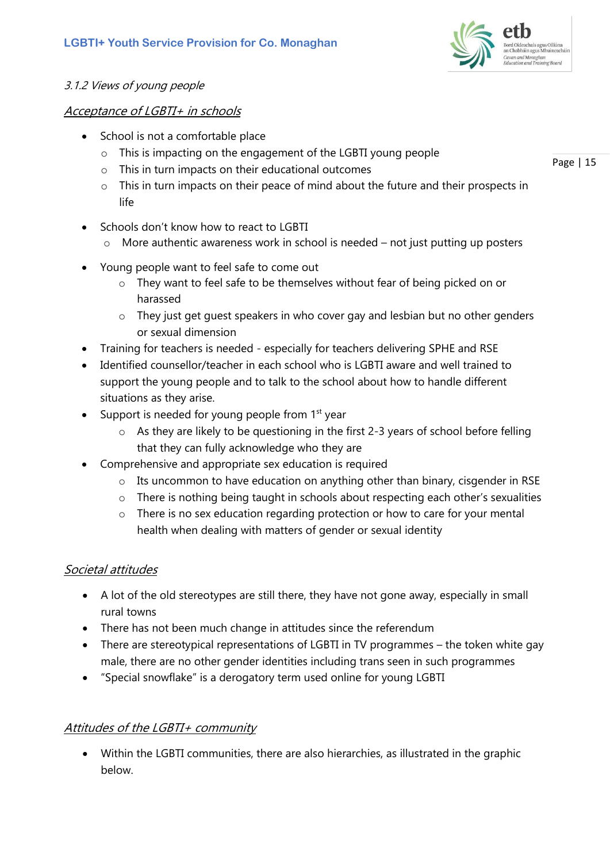

### 3.1.2 Views of young people

#### Acceptance of LGBTI+ in schools

- School is not a comfortable place
	- o This is impacting on the engagement of the LGBTI young people
	- o This in turn impacts on their educational outcomes
	- $\circ$  This in turn impacts on their peace of mind about the future and their prospects in life
- Schools don't know how to react to LGBTI
	- $\circ$  More authentic awareness work in school is needed not just putting up posters
- Young people want to feel safe to come out
	- o They want to feel safe to be themselves without fear of being picked on or harassed
	- $\circ$  They just get guest speakers in who cover gay and lesbian but no other genders or sexual dimension
- Training for teachers is needed especially for teachers delivering SPHE and RSE
- Identified counsellor/teacher in each school who is LGBTI aware and well trained to support the young people and to talk to the school about how to handle different situations as they arise.
- Support is needed for young people from  $1<sup>st</sup>$  year
	- o As they are likely to be questioning in the first 2-3 years of school before felling that they can fully acknowledge who they are
- Comprehensive and appropriate sex education is required
	- o Its uncommon to have education on anything other than binary, cisgender in RSE
	- o There is nothing being taught in schools about respecting each other's sexualities
	- $\circ$  There is no sex education regarding protection or how to care for your mental health when dealing with matters of gender or sexual identity

### Societal attitudes

- A lot of the old stereotypes are still there, they have not gone away, especially in small rural towns
- There has not been much change in attitudes since the referendum
- There are stereotypical representations of LGBTI in TV programmes the token white gay male, there are no other gender identities including trans seen in such programmes
- "Special snowflake" is a derogatory term used online for young LGBTI

### Attitudes of the LGBTI+ community

• Within the LGBTI communities, there are also hierarchies, as illustrated in the graphic below.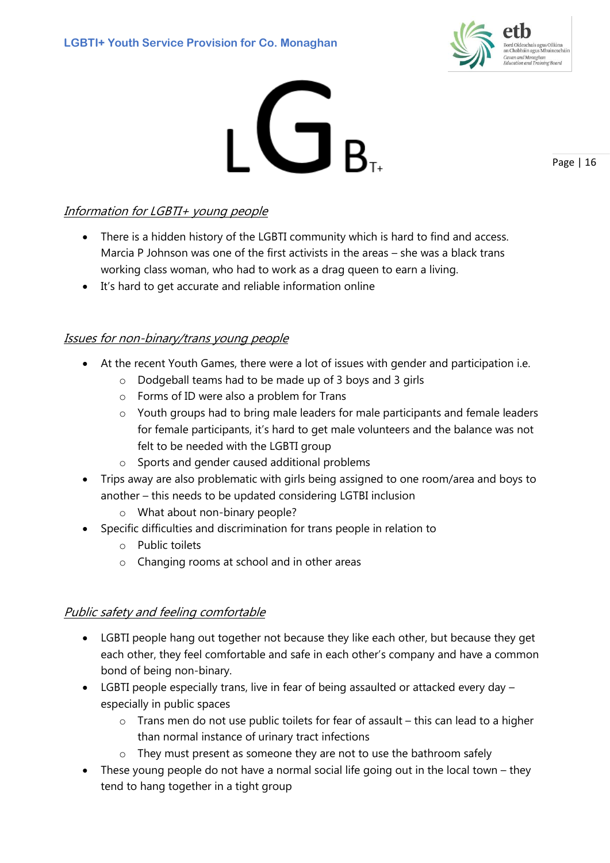



Page | 16

# Information for LGBTI+ young people

- There is a hidden history of the LGBTI community which is hard to find and access. Marcia P Johnson was one of the first activists in the areas – she was a black trans working class woman, who had to work as a drag queen to earn a living.
- It's hard to get accurate and reliable information online

### Issues for non-binary/trans young people

- At the recent Youth Games, there were a lot of issues with gender and participation i.e.
	- o Dodgeball teams had to be made up of 3 boys and 3 girls
	- o Forms of ID were also a problem for Trans
	- $\circ$  Youth groups had to bring male leaders for male participants and female leaders for female participants, it's hard to get male volunteers and the balance was not felt to be needed with the LGBTI group
	- o Sports and gender caused additional problems
- Trips away are also problematic with girls being assigned to one room/area and boys to another – this needs to be updated considering LGTBI inclusion
	- o What about non-binary people?
- Specific difficulties and discrimination for trans people in relation to
	- o Public toilets
	- o Changing rooms at school and in other areas

# Public safety and feeling comfortable

- LGBTI people hang out together not because they like each other, but because they get each other, they feel comfortable and safe in each other's company and have a common bond of being non-binary.
- LGBTI people especially trans, live in fear of being assaulted or attacked every day especially in public spaces
	- $\circ$  Trans men do not use public toilets for fear of assault this can lead to a higher than normal instance of urinary tract infections
	- o They must present as someone they are not to use the bathroom safely
- These young people do not have a normal social life going out in the local town they tend to hang together in a tight group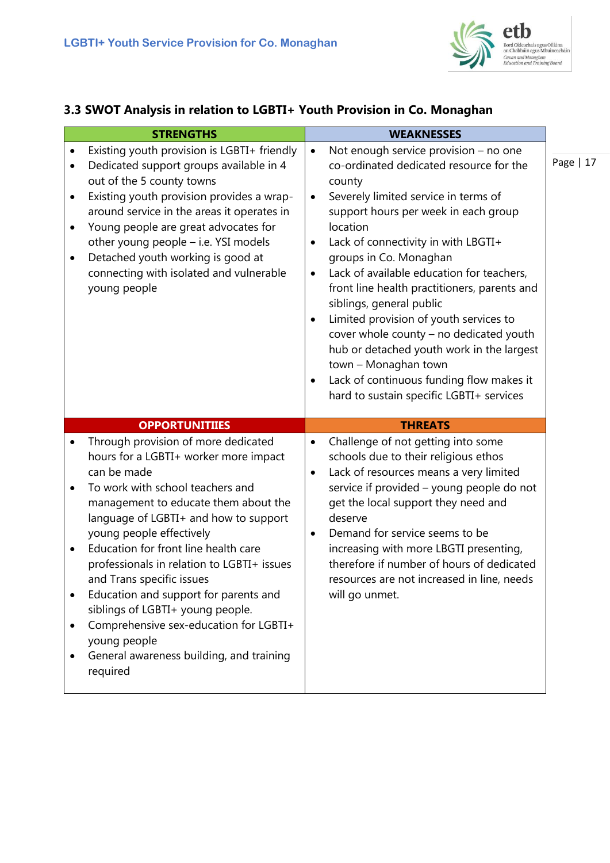

# **3.3 SWOT Analysis in relation to LGBTI+ Youth Provision in Co. Monaghan**

| <b>STRENGTHS</b>                                                                                                                                                                                                                                                                                                                                                                                                                                                                                                                                                                         | <b>WEAKNESSES</b>                                                                                                                                                                                                                                                                                                                                                                                                                                                                                                                                                                                                                                                                      |  |  |
|------------------------------------------------------------------------------------------------------------------------------------------------------------------------------------------------------------------------------------------------------------------------------------------------------------------------------------------------------------------------------------------------------------------------------------------------------------------------------------------------------------------------------------------------------------------------------------------|----------------------------------------------------------------------------------------------------------------------------------------------------------------------------------------------------------------------------------------------------------------------------------------------------------------------------------------------------------------------------------------------------------------------------------------------------------------------------------------------------------------------------------------------------------------------------------------------------------------------------------------------------------------------------------------|--|--|
| Existing youth provision is LGBTI+ friendly<br>$\bullet$<br>Dedicated support groups available in 4<br>$\bullet$<br>out of the 5 county towns<br>Existing youth provision provides a wrap-<br>$\bullet$<br>around service in the areas it operates in<br>Young people are great advocates for<br>$\bullet$<br>other young people - i.e. YSI models<br>Detached youth working is good at<br>$\bullet$<br>connecting with isolated and vulnerable<br>young people                                                                                                                          | Not enough service provision - no one<br>$\bullet$<br>co-ordinated dedicated resource for the<br>county<br>Severely limited service in terms of<br>$\bullet$<br>support hours per week in each group<br>location<br>Lack of connectivity in with LBGTI+<br>groups in Co. Monaghan<br>Lack of available education for teachers,<br>front line health practitioners, parents and<br>siblings, general public<br>Limited provision of youth services to<br>$\bullet$<br>cover whole county - no dedicated youth<br>hub or detached youth work in the largest<br>town - Monaghan town<br>Lack of continuous funding flow makes it<br>$\bullet$<br>hard to sustain specific LGBTI+ services |  |  |
| <b>OPPORTUNITIIES</b>                                                                                                                                                                                                                                                                                                                                                                                                                                                                                                                                                                    | <b>THREATS</b>                                                                                                                                                                                                                                                                                                                                                                                                                                                                                                                                                                                                                                                                         |  |  |
| Through provision of more dedicated<br>$\bullet$<br>hours for a LGBTI+ worker more impact<br>can be made<br>To work with school teachers and<br>management to educate them about the<br>language of LGBTI+ and how to support<br>young people effectively<br>Education for front line health care<br>professionals in relation to LGBTI+ issues<br>and Trans specific issues<br>Education and support for parents and<br>siblings of LGBTI+ young people.<br>Comprehensive sex-education for LGBTI+<br>$\bullet$<br>young people<br>General awareness building, and training<br>required | Challenge of not getting into some<br>$\bullet$<br>schools due to their religious ethos<br>Lack of resources means a very limited<br>$\bullet$<br>service if provided - young people do not<br>get the local support they need and<br>deserve<br>Demand for service seems to be<br>$\bullet$<br>increasing with more LBGTI presenting,<br>therefore if number of hours of dedicated<br>resources are not increased in line, needs<br>will go unmet.                                                                                                                                                                                                                                    |  |  |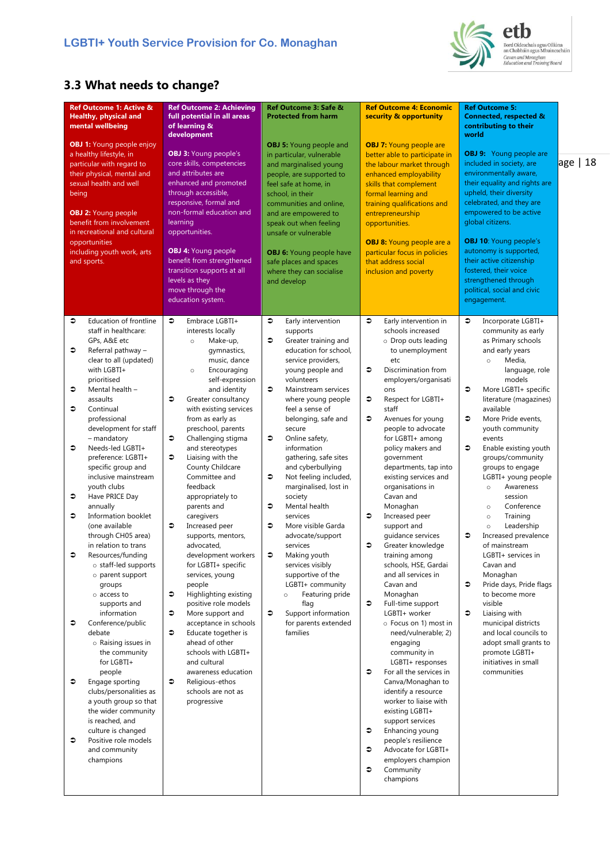

etb Bord Oideachais agus Oiliúna<br>an Chabháin agus Mhuineacháin<br>*Cavan and Monaghan<br>Education and Training Board* 

# **3.3 What needs to change?**

| <b>Ref Outcome 1: Active &amp;</b><br><b>Healthy, physical and</b><br>mental wellbeing<br><b>OBJ 1: Young people enjoy</b><br>a healthy lifestyle, in<br>particular with regard to<br>their physical, mental and<br>sexual health and well<br>being<br><b>OBJ 2: Young people</b><br>benefit from involvement<br>in recreational and cultural<br>opportunities<br>including youth work, arts<br>and sports.                                                                                                                                                                                                                                                                                                                             | <b>Ref Outcome 2: Achieving</b><br>full potential in all areas<br>of learning &<br>development<br><b>OBJ 3: Young people's</b><br>core skills, competencies<br>and attributes are<br>enhanced and promoted<br>through accessible,<br>responsive, formal and<br>non-formal education and<br>learning<br>opportunities.<br><b>OBJ 4: Young people</b><br>benefit from strengthened<br>transition supports at all<br>levels as they<br>move through the<br>education system.                                                                                                                                                                                                                                                                                                                                                | Ref Outcome 3: Safe &<br><b>Protected from harm</b><br><b>OBJ 5: Young people and</b><br>in particular, vulnerable<br>and marginalised young<br>people, are supported to<br>feel safe at home, in<br>school, in their<br>communities and online,<br>and are empowered to<br>speak out when feeling<br>unsafe or vulnerable<br><b>OBJ 6:</b> Young people have<br>safe places and spaces<br>where they can socialise<br>and develop                                                                                                                                                                                                                                                                                         | <b>Ref Outcome 4: Economic</b><br>security & opportunity<br><b>OBJ 7: Young people are</b><br>better able to participate in<br>the labour market through<br>enhanced employability<br>skills that complement<br>formal learning and<br>training qualifications and<br>entrepreneurship<br>opportunities.<br><b>OBJ 8:</b> Young people are a<br>particular focus in policies<br>that address social<br>inclusion and poverty                                                                                                                                                                                                                                                                                                                                            | <b>Ref Outcome 5:</b><br>Connected, respected &<br>contributing to their<br>world<br><b>OBJ 9:</b> Young people are<br>included in society, are<br>environmentally aware,<br>their equality and rights are<br>upheld, their diversity<br>celebrated, and they are<br>empowered to be active<br>global citizens.<br><b>OBJ 10:</b> Young people's<br>autonomy is supported,<br>their active citizenship<br>fostered, their voice<br>strengthened through<br>political, social and civic<br>engagement.                                                                                                                                                                                                                                                                           | age   18 |
|-----------------------------------------------------------------------------------------------------------------------------------------------------------------------------------------------------------------------------------------------------------------------------------------------------------------------------------------------------------------------------------------------------------------------------------------------------------------------------------------------------------------------------------------------------------------------------------------------------------------------------------------------------------------------------------------------------------------------------------------|--------------------------------------------------------------------------------------------------------------------------------------------------------------------------------------------------------------------------------------------------------------------------------------------------------------------------------------------------------------------------------------------------------------------------------------------------------------------------------------------------------------------------------------------------------------------------------------------------------------------------------------------------------------------------------------------------------------------------------------------------------------------------------------------------------------------------|----------------------------------------------------------------------------------------------------------------------------------------------------------------------------------------------------------------------------------------------------------------------------------------------------------------------------------------------------------------------------------------------------------------------------------------------------------------------------------------------------------------------------------------------------------------------------------------------------------------------------------------------------------------------------------------------------------------------------|-------------------------------------------------------------------------------------------------------------------------------------------------------------------------------------------------------------------------------------------------------------------------------------------------------------------------------------------------------------------------------------------------------------------------------------------------------------------------------------------------------------------------------------------------------------------------------------------------------------------------------------------------------------------------------------------------------------------------------------------------------------------------|---------------------------------------------------------------------------------------------------------------------------------------------------------------------------------------------------------------------------------------------------------------------------------------------------------------------------------------------------------------------------------------------------------------------------------------------------------------------------------------------------------------------------------------------------------------------------------------------------------------------------------------------------------------------------------------------------------------------------------------------------------------------------------|----------|
| Education of frontline<br>≎<br>staff in healthcare:<br>GPs, A&E etc<br>Referral pathway -<br>€<br>clear to all (updated)<br>with LGBTI+<br>prioritised<br>≎<br>Mental health -<br>assaults<br>≎<br>Continual<br>professional<br>development for staff<br>- mandatory<br>€<br>Needs-led LGBTI+<br>preference: LGBTI+<br>specific group and<br>inclusive mainstream<br>youth clubs<br>Have PRICE Day<br>€<br>annually<br>≎<br>Information booklet<br>(one available<br>through CH05 area)<br>in relation to trans<br>≎<br>Resources/funding<br>o staff-led supports<br>o parent support<br>groups<br>o access to<br>supports and<br>information<br>€<br>Conference/public<br>debate<br>o Raising issues in<br>the community<br>for LGBTI+ | $\bullet$<br>Embrace LGBTI+<br>interests locally<br>Make-up,<br>$\circ$<br>gymnastics,<br>music, dance<br>Encouraging<br>$\circ$<br>self-expression<br>and identity<br>$\bullet$<br>Greater consultancy<br>with existing services<br>from as early as<br>preschool, parents<br>Challenging stigma<br>€<br>and stereotypes<br>Liaising with the<br>€<br>County Childcare<br>Committee and<br>feedback<br>appropriately to<br>parents and<br>caregivers<br>$\bullet$<br>Increased peer<br>supports, mentors,<br>advocated,<br>development workers<br>for LGBTI+ specific<br>services, young<br>people<br>$\bullet$<br>Highlighting existing<br>positive role models<br>$\bullet$<br>More support and<br>acceptance in schools<br>$\bullet$<br>Educate together is<br>ahead of other<br>schools with LGBTI+<br>and cultural | €<br>Early intervention<br>supports<br>€<br>Greater training and<br>education for school,<br>service providers,<br>young people and<br>volunteers<br>€<br>Mainstream services<br>where young people<br>feel a sense of<br>belonging, safe and<br>secure<br>€<br>Online safety,<br>information<br>gathering, safe sites<br>and cyberbullying<br>$\bullet$<br>Not feeling included,<br>marginalised, lost in<br>society<br>$\bullet$<br>Mental health<br>services<br>€<br>More visible Garda<br>advocate/support<br>services<br>€<br>Making youth<br>services visibly<br>supportive of the<br>LGBTI+ community<br>Featuring pride<br>$\circ$<br>flag<br>$\bullet$<br>Support information<br>for parents extended<br>families | $\bullet$<br>Early intervention in<br>schools increased<br>o Drop outs leading<br>to unemployment<br>etc<br>€<br>Discrimination from<br>employers/organisati<br>ons<br>$\bullet$<br>Respect for LGBTI+<br>staff<br>∍<br>Avenues for young<br>people to advocate<br>for LGBTI+ among<br>policy makers and<br>government<br>departments, tap into<br>existing services and<br>organisations in<br>Cavan and<br>Monaghan<br>$\bullet$<br>Increased peer<br>support and<br>guidance services<br>$\bullet$<br>Greater knowledge<br>training among<br>schools, HSE, Gardai<br>and all services in<br>Cavan and<br>Monaghan<br>$\bullet$<br>Full-time support<br>LGBTI+ worker<br>o Focus on 1) most in<br>need/vulnerable; 2)<br>engaging<br>community in<br>LGBTI+ responses | Incorporate LGBTI+<br>≎<br>community as early<br>as Primary schools<br>and early years<br>Media,<br>$\circ$<br>language, role<br>models<br>€<br>More LGBTI+ specific<br>literature (magazines)<br>available<br>€<br>More Pride events,<br>youth community<br>events<br>€<br>Enable existing youth<br>groups/community<br>groups to engage<br>LGBTI+ young people<br>Awareness<br>$\circ$<br>session<br>Conference<br>$\circ$<br>Training<br>$\circ$<br>Leadership<br>$\circ$<br>€<br>Increased prevalence<br>of mainstream<br>LGBTI+ services in<br>Cavan and<br>Monaghan<br>€<br>Pride days, Pride flags<br>to become more<br>visible<br>€<br>Liaising with<br>municipal districts<br>and local councils to<br>adopt small grants to<br>promote LGBTI+<br>initiatives in small |          |
| people<br>Engage sporting<br>€<br>clubs/personalities as<br>a youth group so that<br>the wider community<br>is reached, and<br>culture is changed<br>Positive role models<br>€<br>and community<br>champions                                                                                                                                                                                                                                                                                                                                                                                                                                                                                                                            | awareness education<br>$\bullet$<br>Religious-ethos<br>schools are not as<br>progressive                                                                                                                                                                                                                                                                                                                                                                                                                                                                                                                                                                                                                                                                                                                                 |                                                                                                                                                                                                                                                                                                                                                                                                                                                                                                                                                                                                                                                                                                                            | $\bullet$<br>For all the services in<br>Canva/Monaghan to<br>identify a resource<br>worker to liaise with<br>existing LGBTI+<br>support services<br>$\bullet$<br>Enhancing young<br>people's resilience<br>$\bullet$<br>Advocate for LGBTI+<br>employers champion<br>$\bullet$<br>Community<br>champions                                                                                                                                                                                                                                                                                                                                                                                                                                                                | communities                                                                                                                                                                                                                                                                                                                                                                                                                                                                                                                                                                                                                                                                                                                                                                     |          |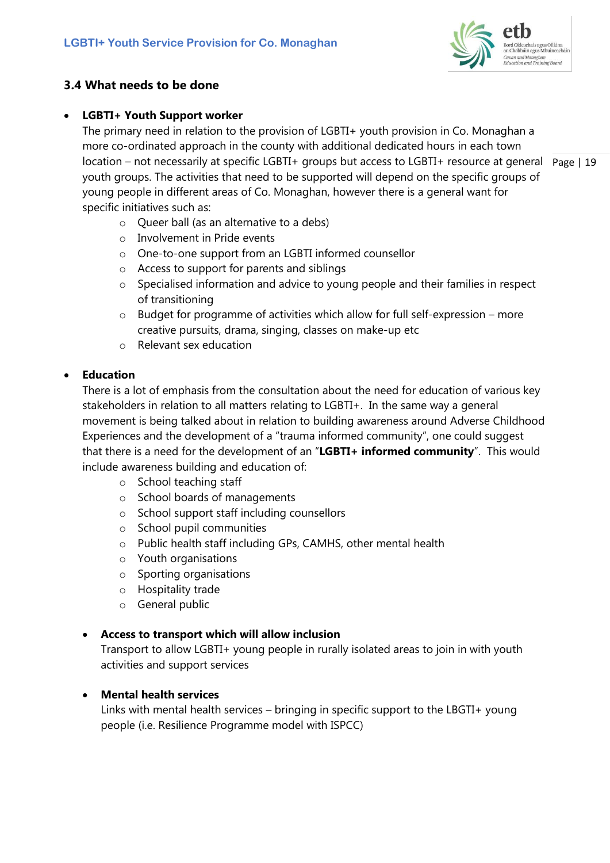

### **3.4 What needs to be done**

### • **LGBTI+ Youth Support worker**

location – not necessarily at specific LGBTI+ groups but access to LGBTI+ resource at general Page | 19 The primary need in relation to the provision of LGBTI+ youth provision in Co. Monaghan a more co-ordinated approach in the county with additional dedicated hours in each town youth groups. The activities that need to be supported will depend on the specific groups of young people in different areas of Co. Monaghan, however there is a general want for specific initiatives such as:

- $\circ$  Oueer ball (as an alternative to a debs)
- o Involvement in Pride events
- o One-to-one support from an LGBTI informed counsellor
- o Access to support for parents and siblings
- o Specialised information and advice to young people and their families in respect of transitioning
- $\circ$  Budget for programme of activities which allow for full self-expression more creative pursuits, drama, singing, classes on make-up etc
- o Relevant sex education

#### • **Education**

There is a lot of emphasis from the consultation about the need for education of various key stakeholders in relation to all matters relating to LGBTI+. In the same way a general movement is being talked about in relation to building awareness around Adverse Childhood Experiences and the development of a "trauma informed community", one could suggest that there is a need for the development of an "**LGBTI+ informed community**". This would include awareness building and education of:

- o School teaching staff
- o School boards of managements
- o School support staff including counsellors
- o School pupil communities
- o Public health staff including GPs, CAMHS, other mental health
- o Youth organisations
- o Sporting organisations
- o Hospitality trade
- o General public

#### • **Access to transport which will allow inclusion**

Transport to allow LGBTI+ young people in rurally isolated areas to join in with youth activities and support services

### • **Mental health services**

Links with mental health services – bringing in specific support to the LBGTI+ young people (i.e. Resilience Programme model with ISPCC)